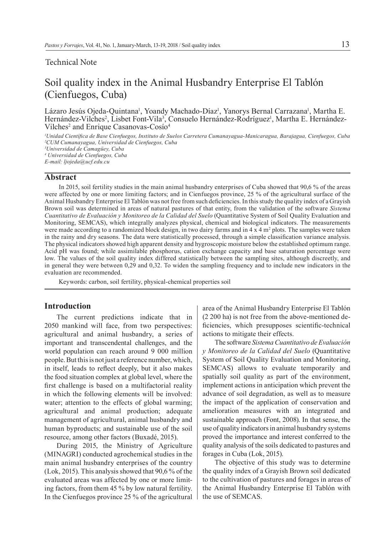#### Technical Note

# Soil quality index in the Animal Husbandry Enterprise El Tablón (Cienfuegos, Cuba)

Lázaro Jesús Ojeda-Quintana<sup>1</sup>, Yoandy Machado-Díaz<sup>1</sup>, Yanorys Bernal Carrazana<sup>1</sup>, Martha E. Hernández-Vilches<sup>2</sup>, Lisbet Font-Vila<sup>3</sup>, Consuelo Hernández-Rodríguez<sup>i</sup>, Martha E. Hernández-Vilches<sup>2</sup> and Enrique Casanovas-Cosío<sup>4</sup>

*1 Unidad Científica de Base Cienfuegos, Instituto de Suelos Carretera Cumanayagua-Manicaragua, Barajagua, Cienfuegos, Cuba 2 CUM Cumanayagua, Universidad de Cienfuegos, Cuba*

*3 Universidad de Camagüey, Cuba*

*4 Universidad de Cienfuegos, Cuba*

# *E-mail: ljojeda@ucf.edu.cu*

### **Abstract**

In 2015, soil fertility studies in the main animal husbandry enterprises of Cuba showed that 90,6 % of the areas were affected by one or more limiting factors; and in Cienfuegos province, 25 % of the agricultural surface of the Animal Husbandry Enterprise El Tablón was not free from such deficiencies. In this study the quality index of a Grayish Brown soil was determined in areas of natural pastures of that entity, from the validation of the software *Sistema Cuantitativo de Evaluación y Monitoreo de la Calidad del Suelo* (Quantitative System of Soil Quality Evaluation and Monitoring, SEMCAS), which integrally analyzes physical, chemical and biological indicators. The measurements were made according to a randomized block design, in two dairy farms and in  $4 \times 4$  m<sup>2</sup> plots. The samples were taken in the rainy and dry seasons. The data were statistically processed, through a simple classification variance analysis. The physical indicators showed high apparent density and hygroscopic moisture below the established optimum range. Acid pH was found; while assimilable phosphorus, cation exchange capacity and base saturation percentage were low. The values of the soil quality index differed statistically between the sampling sites, although discreetly, and in general they were between 0,29 and 0,32. To widen the sampling frequency and to include new indicators in the evaluation are recommended.

Keywords: carbon, soil fertility, physical-chemical properties soil

#### **Introduction**

The current predictions indicate that in 2050 mankind will face, from two perspectives: agricultural and animal husbandry, a series of important and transcendental challenges, and the world population can reach around 9 000 million people. But this is not just a reference number, which, in itself, leads to reflect deeply, but it also makes the food situation complex at global level, where the first challenge is based on a multifactorial reality in which the following elements will be involved: water; attention to the effects of global warming; agricultural and animal production; adequate management of agricultural, animal husbandry and human byproducts; and sustainable use of the soil resource, among other factors (Buxadé, 2015).

During 2015, the Ministry of Agriculture (MINAGRI) conducted agrochemical studies in the main animal husbandry enterprises of the country (Lok, 2015). This analysis showed that 90,6 % of the evaluated areas was affected by one or more limiting factors, from them 45 % by low natural fertility. In the Cienfuegos province 25 % of the agricultural

area of the Animal Husbandry Enterprise El Tablón (2 200 ha) is not free from the above-mentioned deficiencies, which presupposes scientific-technical actions to mitigate their effects.

The software *Sistema Cuantitativo de Evaluación y Monitoreo de la Calidad del Suelo* (Quantitative System of Soil Quality Evaluation and Monitoring, SEMCAS) allows to evaluate temporarily and spatially soil quality as part of the environment, implement actions in anticipation which prevent the advance of soil degradation, as well as to measure the impact of the application of conservation and amelioration measures with an integrated and sustainable approach (Font, 2008). In that sense, the use of quality indicators in animal husbandry systems proved the importance and interest conferred to the quality analysis of the soils dedicated to pastures and forages in Cuba (Lok, 2015).

The objective of this study was to determine the quality index of a Grayish Brown soil dedicated to the cultivation of pastures and forages in areas of the Animal Husbandry Enterprise El Tablón with the use of SEMCAS.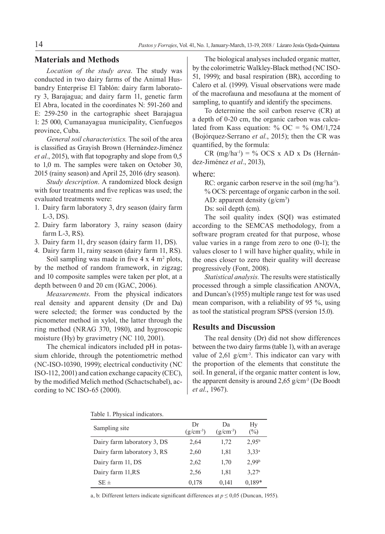## **Materials and Methods**

*Location of the study area*. The study was conducted in two dairy farms of the Animal Husbandry Enterprise El Tablón: dairy farm laboratory 3, Barajagua; and dairy farm 11, genetic farm El Abra, located in the coordinates N: 591-260 and E: 259-250 in the cartographic sheet Barajagua 1: 25 000, Cumanayagua municipality, Cienfuegos province, Cuba.

*General soil characteristics.* The soil of the area is classified as Grayish Brown (Hernández-Jiménez *et al.*, 2015), with flat topography and slope from 0,5 to 1,0 m. The samples were taken on October 30, 2015 (rainy season) and April 25, 2016 (dry season).

*Study description*. A randomized block design with four treatments and five replicas was used; the evaluated treatments were:

- 1. Dairy farm laboratory 3, dry season (dairy farm L-3, DS).
- 2. Dairy farm laboratory 3, rainy season (dairy farm L-3, RS).
- 3. Dairy farm 11, dry season (dairy farm 11, DS).
- 4. Dairy farm 11, rainy season (dairy farm 11, RS). Soil sampling was made in five  $4 \times 4$  m<sup>2</sup> plots,

by the method of random framework, in zigzag; and 10 composite samples were taken per plot, at a depth between 0 and 20 cm (IGAC, 2006).

*Measurements*. From the physical indicators real density and apparent density (Dr and Da) were selected; the former was conducted by the picnometer method in xylol, the latter through the ring method (NRAG 370, 1980), and hygroscopic moisture (Hy) by gravimetry (NC 110, 2001).

The chemical indicators included pH in potassium chloride, through the potentiometric method (NC-ISO-10390, 1999); electrical conductivity (NC ISO-112, 2001) and cation exchange capacity (CEC), by the modified Melich method (Schactschabel), according to NC ISO-65 (2000).

The biological analyses included organic matter, by the colorimetric Walkley-Black method (NC ISO-51, 1999); and basal respiration (BR), according to Calero et al. (1999). Visual observations were made of the macrofauna and mesofauna at the moment of sampling, to quantify and identify the specimens.

To determine the soil carbon reserve (CR) at a depth of 0-20 cm, the organic carbon was calculated from Kass equation: % OC = % OM/1,724 (Bojórquez-Serrano *et al.*, 2015); then the CR was quantified, by the formula:

CR  $(mg/ha^{-1}) = \%$  OCS x AD x Ds (Hernández-Jiménez *et al.*, 2013),

where:

RC: organic carbon reserve in the soil (mg/ha<sup>-1</sup>). % OCS: percentage of organic carbon in the soil. AD: apparent density  $(g/cm<sup>3</sup>)$ 

Ds: soil depth (cm).

The soil quality index (SQI) was estimated according to the SEMCAS methodology, from a software program created for that purpose, whose value varies in a range from zero to one (0-1); the values closer to 1 will have higher quality, while in the ones closer to zero their quality will decrease progressively (Font, 2008).

*Statistical analysis.* The results were statistically processed through a simple classification ANOVA, and Duncan's (1955) multiple range test for was used mean comparison, with a reliability of 95 %, using as tool the statistical program SPSS (version 15.0).

#### **Results and Discussion**

The real density (Dr) did not show differences between the two dairy farms (table 1), with an average value of  $2,61$  g/cm<sup>-3</sup>. This indicator can vary with the proportion of the elements that constitute the soil. In general, if the organic matter content is low, the apparent density is around  $2,65$  g/cm<sup>-3</sup> (De Boodt *et al.*, 1967).

| Table 1. Physical indicators. |  |
|-------------------------------|--|
|-------------------------------|--|

| Sampling site               | Dr<br>$(g/cm^{-3})$ | Da<br>$(g/cm^{-3})$ | Hy<br>$(\%)$      |
|-----------------------------|---------------------|---------------------|-------------------|
| Dairy farm laboratory 3, DS | 2.64                | 1,72                | $2.95^{b}$        |
| Dairy farm laboratory 3, RS | 2,60                | 1,81                | 3.33 <sup>a</sup> |
| Dairy farm 11, DS           | 2,62                | 1,70                | 2.99 <sup>b</sup> |
| Dairy farm 11, RS           | 2.56                | 1,81                | 3.27a             |
| $SE \pm$                    | 0,178               | 0,141               | $0.189*$          |

a, b: Different letters indicate significant differences at  $p \le 0.05$  (Duncan, 1955).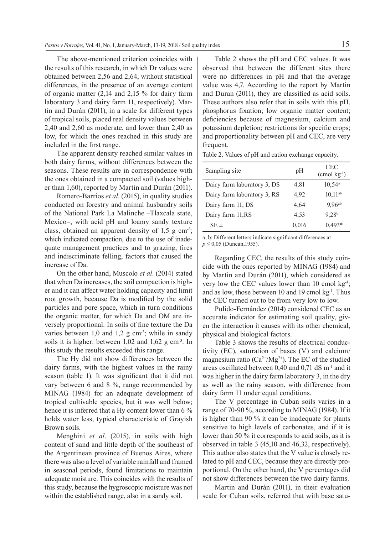The above-mentioned criterion coincides with the results of this research, in which Dr values were obtained between 2,56 and 2,64, without statistical differences, in the presence of an average content of organic matter (2,14 and 2,15 % for dairy farm laboratory 3 and dairy farm 11, respectively). Martin and Durán (2011), in a scale for different types of tropical soils, placed real density values between 2,40 and 2,60 as moderate, and lower than 2,40 as low, for which the ones reached in this study are included in the first range.

The apparent density reached similar values in both dairy farms, without differences between the seasons. These results are in correspondence with the ones obtained in a compacted soil (values higher than 1,60), reported by Martin and Durán (2011).

Romero-Barrios *et al*. (2015), in quality studies conducted on forestry and animal husbandry soils of the National Park La Malinche –Tlaxcala state, Mexico–, with acid pH and loamy sandy texture class, obtained an apparent density of  $1,5$  g cm<sup>-3</sup>; which indicated compaction, due to the use of inadequate management practices and to grazing, fires and indiscriminate felling, factors that caused the increase of Da.

On the other hand, Muscolo *et al*. (2014) stated that when Da increases, the soil compaction is higher and it can affect water holding capacity and limit root growth, because Da is modified by the solid particles and pore space, which in turn conditions the organic matter, for which Da and OM are inversely proportional. In soils of fine texture the Da varies between  $1,0$  and  $1,2$  g cm<sup>-3</sup>; while in sandy soils it is higher: between  $1,02$  and  $1,62$  g cm<sup>-3</sup>. In this study the results exceeded this range.

The Hy did not show differences between the dairy farms, with the highest values in the rainy season (table 1). It was significant that it did not vary between 6 and 8 %, range recommended by MINAG (1984) for an adequate development of tropical cultivable species, but it was well below; hence it is inferred that a Hy content lower than 6 % holds water less, typical characteristic of Grayish Brown soils.

Menghini *et al*. (2015), in soils with high content of sand and little depth of the southeast of the Argentinean province of Buenos Aires, where there was also a level of variable rainfall and framed in seasonal periods, found limitations to maintain adequate moisture. This coincides with the results of this study, because the hygroscopic moisture was not within the established range, also in a sandy soil.

Table 2 shows the pH and CEC values. It was observed that between the different sites there were no differences in pH and that the average value was 4,7. According to the report by Martin and Duran (2011), they are classified as acid soils. These authors also refer that in soils with this pH, phosphorus fixation; low organic matter content; deficiencies because of magnesium, calcium and potassium depletion; restrictions for specific crops; and proportionality between pH and CEC, are very frequent.

Table 2. Values of pH and cation exchange capacity.

| Sampling site               | pH    | CEC<br>$\text{(cmol kg}^{-1}\text{)}$ |
|-----------------------------|-------|---------------------------------------|
| Dairy farm laboratory 3, DS | 4,81  | $10,54^{\circ}$                       |
| Dairy farm laboratory 3, RS | 4.92  | $10.11^{ab}$                          |
| Dairy farm 11, DS           | 4.64  | $9,96^{ab}$                           |
| Dairy farm 11, RS           | 4,53  | 9,28 <sup>b</sup>                     |
| $SE \pm$                    | 0,016 | $0,493*$                              |

a, b: Different letters indicate significant differences at *p* ≤ 0,05 (Duncan, 1955).

Regarding CEC, the results of this study coincide with the ones reported by MINAG (1984) and by Martin and Durán (2011), which considered as very low the CEC values lower than 10 cmol  $kg<sup>-1</sup>$ ; and as low, those between 10 and 19 cmol  $kg<sup>-1</sup>$ . Thus the CEC turned out to be from very low to low.

Pulido-Fernández (2014) considered CEC as an accurate indicator for estimating soil quality, given the interaction it causes with its other chemical, physical and biological factors.

Table 3 shows the results of electrical conductivity (EC), saturation of bases (V) and calcium/ magnesium ratio ( $Ca^{2+}/Mg^{2+}$ ). The EC of the studied areas oscillated between 0,40 and 0,71 dS m-1 and it was higher in the dairy farm laboratory 3, in the dry as well as the rainy season, with difference from dairy farm 11 under equal conditions.

The V percentage in Cuban soils varies in a range of 70-90 %, according to MINAG (1984). If it is higher than 90 % it can be inadequate for plants sensitive to high levels of carbonates, and if it is lower than 50 % it corresponds to acid soils, as it is observed in table 3 (45,10 and 46,32, respectively). This author also states that the V value is closely related to pH and CEC, because they are directly proportional. On the other hand, the V percentages did not show differences between the two dairy farms.

Martin and Durán (2011), in their evaluation scale for Cuban soils, referred that with base satu-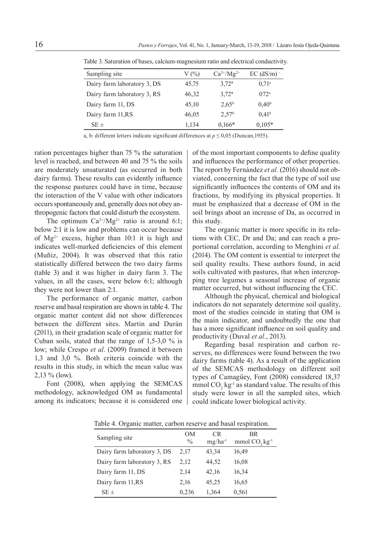| Sampling site               | V(%)  | $Ca^{2+}/Mg^{2+}$ | $EC$ (dS/m) $\cdot$ |
|-----------------------------|-------|-------------------|---------------------|
| Dairy farm laboratory 3, DS | 45,75 | $3.72^{\rm a}$    | $0.71^{\circ}$      |
| Dairy farm laboratory 3, RS | 46,32 | $3.72^{\rm a}$    | $072^{\rm a}$       |
| Dairy farm 11, DS           | 45,10 | $2.65^{\rm b}$    | 0.40 <sup>b</sup>   |
| Dairy farm 11, RS           | 46,05 | 2.57 <sup>b</sup> | 0.41 <sup>b</sup>   |
| $SE \pm$                    | 1,134 | $0.166*$          | $0.105*$            |

Table 3. Saturation of bases, calcium-magnesium ratio and electrical conductivity.

a, b: different letters indicate significant differences at  $p \le 0.05$  (Duncan, 1955).

ration percentages higher than 75 % the saturation level is reached, and between 40 and 75 % the soils are moderately unsaturated (as occurred in both dairy farms). These results can evidently influence the response pastures could have in time, because the interaction of the V value with other indicators occurs spontaneously and, generally does not obey anthropogenic factors that could disturb the ecosystem.

The optimum  $Ca^{2+}/Mg^{2+}$  ratio is around 6:1; below 2:1 it is low and problems can occur because of  $Mg^{2+}$  excess, higher than 10:1 it is high and indicates well-marked deficiencies of this element (Muñiz, 2004). It was observed that this ratio statistically differed between the two dairy farms (table 3) and it was higher in dairy farm 3. The values, in all the cases, were below 6:1; although they were not lower than 2:1.

The performance of organic matter, carbon reserve and basal respiration are shown in table 4. The organic matter content did not show differences between the different sites. Martin and Durán (2011), in their gradation scale of organic matter for Cuban soils, stated that the range of  $1,5-3,0$  % is low; while Crespo *et al*. (2009) framed it between 1,3 and 3,0 %. Both criteria coincide with the results in this study, in which the mean value was 2,13 % (low).

Font (2008), when applying the SEMCAS methodology, acknowledged OM as fundamental among its indicators; because it is considered one

of the most important components to define quality and influences the performance of other properties. The report by Fernández *et al.* (2016) should not obviated, concerning the fact that the type of soil use significantly influences the contents of OM and its fractions, by modifying its physical properties. It must be emphasized that a decrease of OM in the soil brings about an increase of Da, as occurred in this study.

The organic matter is more specific in its relations with CEC, Dr and Da; and can reach a proportional correlation, according to Menghini *et al.* (2014). The OM content is essential to interpret the soil quality results. These authors found, in acid soils cultivated with pastures, that when intercropping tree legumes a seasonal increase of organic matter occurred, but without influencing the CEC.

Although the physical, chemical and biological indicators do not separately determine soil quality, most of the studies coincide in stating that OM is the main indicator, and undoubtedly the one that has a more significant influence on soil quality and productivity (Duval *et al.*, 2013).

Regarding basal respiration and carbon reserves, no differences were found between the two dairy farms (table 4). As a result of the application of the SEMCAS methodology on different soil types of Camagüey, Font (2008) considered 18,37 mmol  $CO_2$  kg<sup>-1</sup> as standard value. The results of this study were lower in all the sampled sites, which could indicate lower biological activity.

Table 4. Organic matter, carbon reserve and basal respiration.

| Sampling site               | <b>OM</b><br>$\frac{0}{0}$ | CR.<br>$mg/ha^{-1}$ | <b>BR</b><br>mmol $CO$ , $kg^{-1}$ |
|-----------------------------|----------------------------|---------------------|------------------------------------|
| Dairy farm laboratory 3, DS | 2,17                       | 43,34               | 16,49                              |
| Dairy farm laboratory 3, RS | 2,12                       | 44,52               | 16,08                              |
| Dairy farm 11, DS           | 2,14                       | 42,16               | 16,34                              |
| Dairy farm 11, RS           | 2,16                       | 45,25               | 16,65                              |
| $SE \pm$                    | 0,236                      | 1,364               | 0.561                              |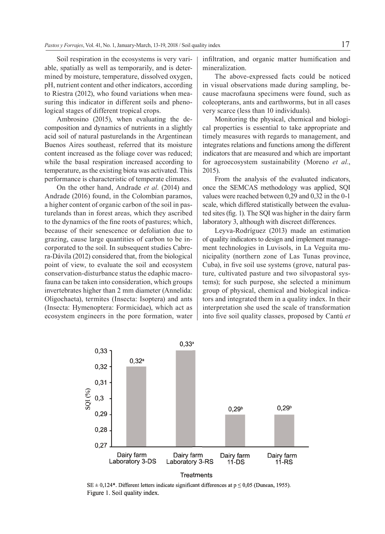Soil respiration in the ecosystems is very variable, spatially as well as temporarily, and is determined by moisture, temperature, dissolved oxygen, pH, nutrient content and other indicators, according to Riestra (2012), who found variations when measuring this indicator in different soils and phenological stages of different tropical crops.

Ambrosino (2015), when evaluating the decomposition and dynamics of nutrients in a slightly acid soil of natural pasturelands in the Argentinean Buenos Aires southeast, referred that its moisture content increased as the foliage cover was reduced; while the basal respiration increased according to temperature, as the existing biota was activated. This performance is characteristic of temperate climates.

On the other hand, Andrade *et al*. (2014) and Andrade (2016) found, in the Colombian paramos, a higher content of organic carbon of the soil in pasturelands than in forest areas, which they ascribed to the dynamics of the fine roots of pastures; which, because of their senescence or defoliation due to grazing, cause large quantities of carbon to be incorporated to the soil. In subsequent studies Cabrera-Dávila (2012) considered that, from the biological point of view, to evaluate the soil and ecosystem conservation-disturbance status the edaphic macrofauna can be taken into consideration, which groups invertebrates higher than 2 mm diameter (Annelida: Oligochaeta), termites (Insecta: Isoptera) and ants (Insecta: Hymenoptera: Formicidae), which act as ecosystem engineers in the pore formation, water infiltration, and organic matter humification and mineralization.

The above-expressed facts could be noticed in visual observations made during sampling, because macrofauna specimens were found, such as coleopterans, ants and earthworms, but in all cases very scarce (less than 10 individuals).

Monitoring the physical, chemical and biological properties is essential to take appropriate and timely measures with regards to management, and integrates relations and functions among the different indicators that are measured and which are important for agroecosystem sustainability (Moreno *et al.*, 2015).

From the analysis of the evaluated indicators, once the SEMCAS methodology was applied, SQI values were reached between 0,29 and 0,32 in the 0-1 scale, which differed statistically between the evaluated sites (fig. 1). The SQI was higher in the dairy farm laboratory 3, although with discreet differences.

Leyva-Rodríguez (2013) made an estimation of quality indicators to design and implement management technologies in Luvisols, in La Veguita municipality (northern zone of Las Tunas province, Cuba), in five soil use systems (grove, natural pasture, cultivated pasture and two silvopastoral systems); for such purpose, she selected a minimum group of physical, chemical and biological indicators and integrated them in a quality index. In their interpretation she used the scale of transformation into five soil quality classes, proposed by Cantú et



 $SE \pm 0,124^*$ . Different letters indicate significant differences at  $p \le 0,05$  (Duncan, 1955). Figure 1. Soil quality index.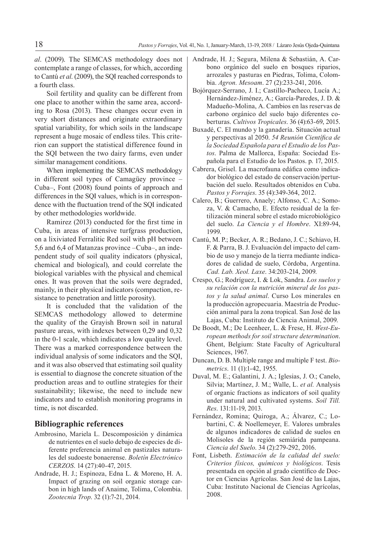*al*. (2009). The SEMCAS methodology does not contemplate a range of classes, for which, according to Cantú *et al*. (2009), the SQI reached corresponds to a fourth class.

Soil fertility and quality can be different from one place to another within the same area, according to Rosa (2013). These changes occur even in very short distances and originate extraordinary spatial variability, for which soils in the landscape represent a huge mosaic of endless tiles. This criterion can support the statistical difference found in the SQI between the two dairy farms, even under similar management conditions.

When implementing the SEMCAS methodology in different soil types of Camagüey province – Cuba–, Font (2008) found points of approach and differences in the SQI values, which is in correspondence with the fluctuation trend of the SQI indicated by other methodologies worldwide.

Ramirez (2013) conducted for the first time in Cuba, in areas of intensive turfgrass production, on a lixiviated Ferralitic Red soil with pH between 5,6 and 6,4 of Matanzas province –Cuba–, an independent study of soil quality indicators (physical, chemical and biological), and could correlate the biological variables with the physical and chemical ones. It was proven that the soils were degraded, mainly, in their physical indicators (compaction, resistance to penetration and little porosity).

It is concluded that the validation of the SEMCAS methodology allowed to determine the quality of the Grayish Brown soil in natural pasture areas, with indexes between 0,29 and 0,32 in the 0-1 scale, which indicates a low quality level. There was a marked correspondence between the individual analysis of some indicators and the SQI, and it was also observed that estimating soil quality is essential to diagnose the concrete situation of the production areas and to outline strategies for their sustainability; likewise, the need to include new indicators and to establish monitoring programs in time, is not discarded.

#### **Bibliographic references**

- Ambrosino, Mariela L. Descomposición y dinámica de nutrientes en el suelo debajo de especies de diferente preferencia animal en pastizales naturales del sudoeste bonaerense. *Boletín Electrónico CERZOS*. 14 (27):40-47, 2015.
- Andrade, H. J.; Espinoza, Edna L. & Moreno, H. A. Impact of grazing on soil organic storage carbon in high lands of Anaime, Tolima, Colombia. *Zootecnia Trop*. 32 (1):7-21, 2014.
- Andrade, H. J.; Segura, Milena & Sebastián, A. Carbono orgánico del suelo en bosques riparios, arrozales y pasturas en Piedras, Tolima, Colombia. *Agron. Mesoam*. 27 (2):233-241, 2016.
- Bojórquez-Serrano, J. I.; Castillo-Pacheco, Lucía A.; Hernández-Jiménez, A.; García-Paredes, J. D. & Madueño-Molina, A. Cambios en las reservas de carbono orgánico del suelo bajo diferentes coberturas. *Cultivos Tropicales*. 36 (4):63-69, 2015.
- Buxadé, C. El mundo y la ganadería. Situación actual y perspectivas al 2050. *54 Reunión Científica de la Sociedad Española para el Estudio de los Pastos*. Palma de Mallorca, España: Sociedad Española para el Estudio de los Pastos. p. 17, 2015.
- Cabrera, Grisel. La macrofauna edáfica como indicador biológico del estado de conservación/perturbación del suelo. Resultados obtenidos en Cuba. *Pastos y Forrajes*. 35 (4):349-364, 2012.
- Calero, B.; Guerrero, Anaely; Alfonso, C. A.; Somoza, V. & Camacho, E. Efecto residual de la fertilización mineral sobre el estado microbiológico del suelo. *La Ciencia y el Hombre*. XI:89-94, 1999.
- Cantú, M. P.; Becker, A. R.; Bedano, J. C.; Schiavo, H. F. & Parra, B. J. Evaluación del impacto del cambio de uso y manejo de la tierra mediante indicadores de calidad de suelo, Córdoba, Argentina. *Cad. Lab. Xeol. Laxe*. 34:203-214, 2009.
- Crespo, G.; Rodríguez, I. & Lok, Sandra. *Los suelos y su relación con la nutrición mineral de los pastos y la salud animal*. Curso Los minerales en la producción agropecuaria. Maestría de Producción animal para la zona tropical. San José de las Lajas, Cuba: Instituto de Ciencia Animal, 2009.
- De Boodt, M.; De Leenheer, L. & Frese, H. *West-European methods for soil structure determination*. Ghent, Belgium: State Faculty of Agricultural Sciences, 1967.
- Duncan, D. B. Multiple range and multiple F test. *Biometrics*. 11 (1):1-42, 1955.
- Duval, M. E.; Galantini, J. A.; Iglesias, J. O.; Canelo, Silvia; Martínez, J. M.; Walle, L. *et al.* Analysis of organic fractions as indicators of soil quality under natural and cultivated systems. *Soil Till. Res*. 131:11-19, 2013.
- Fernández, Romina; Quiroga, A.; Álvarez, C.; Lobartini, C. & Noellemeyer, E. Valores umbrales de algunos indicadores de calidad de suelos en Molisoles de la región semiárida pampeana. *Ciencia del Suelo*. 34 (2):279-292, 2016.
- Font, Lisbeth. *Estimación de la calidad del suelo: Criterios físicos, químicos y biológicos*. Tesis presentada en opción al grado científico de Doctor en Ciencias Agrícolas. San José de las Lajas, Cuba: Instituto Nacional de Ciencias Agrícolas, 2008.